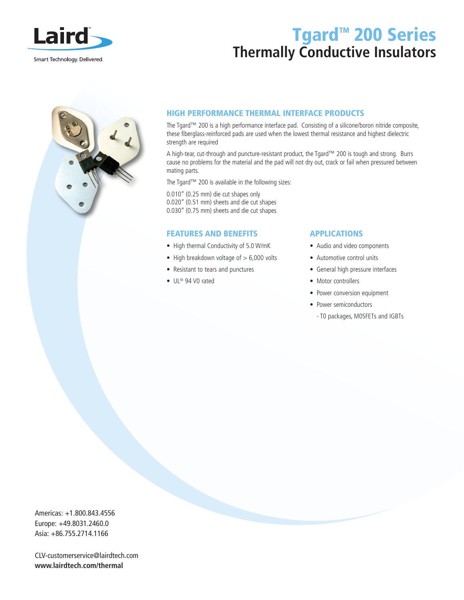

# Tgard<sup>™</sup> 200 Series **Thermally Conductive Insulators**



### HIGH PERFORMANCE THERMAL INTERFACE PRODUCTS

The Tgard™ 200 is a high performance interface pad. Consisting of a silicone/boron nitride composite, these fiberglass-reinforced pads are used when the lowest thermal resistance and highest dielectric strength are required

A high-tear, cut-through and puncture-resistant product, the Tgard™ 200 is tough and strong. Burrs cause no problems for the material and the pad will not dry out, crack or fail when pressured between mating parts.

The Tgard™ 200 is available in the following sizes:

0.010" (0.25 mm) die cut shapes only 0.020" (0.51 mm) sheets and die cut shapes 0.030" (0.75 mm) sheets and die cut shapes

#### FEATURES AND BENEFITS

- High thermal Conductivity of 5.0 W/mK
- High breakdown voltage of  $> 6,000$  volts
- Resistant to tears and punctures
- UL® 94 VO rated

#### APPLICATIONS

- Audio and video components
- Automotive control units
- General high pressure interfaces
- Motor controllers
- Power conversion equipment
- Power semiconductors
	- T0 packages, M0SFETs and IGBTs

Americas: +1.800.843.4556 Europe: +49.8031.2460.0 Asia: +86.755.2714.1166

CLV-customerservice@lairdtech.com **www.lairdtech.com/thermal**